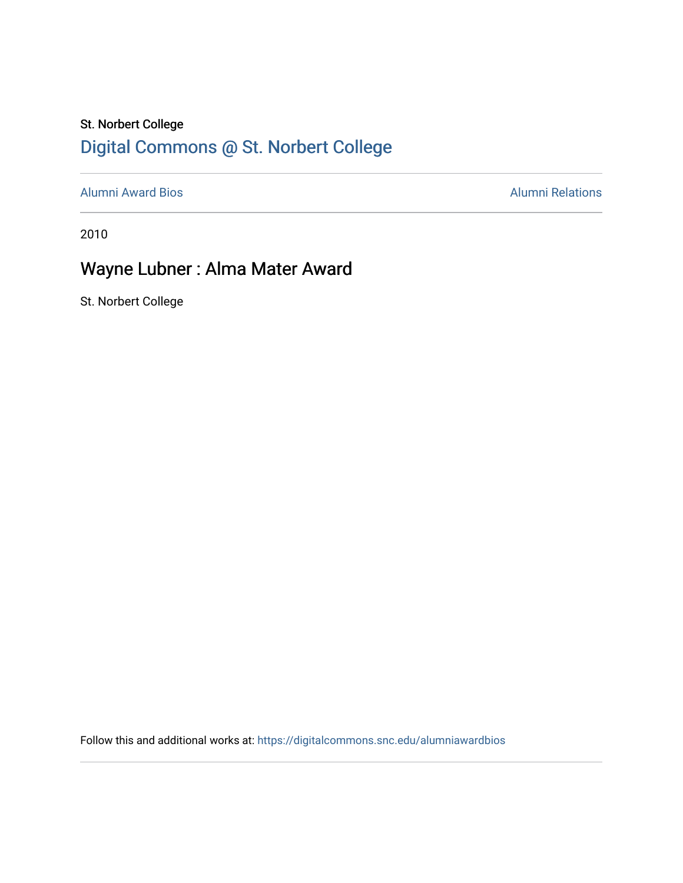# St. Norbert College [Digital Commons @ St. Norbert College](https://digitalcommons.snc.edu/)

[Alumni Award Bios](https://digitalcommons.snc.edu/alumniawardbios) **Alumni Relations** Alumni Relations

2010

# Wayne Lubner : Alma Mater Award

St. Norbert College

Follow this and additional works at: [https://digitalcommons.snc.edu/alumniawardbios](https://digitalcommons.snc.edu/alumniawardbios?utm_source=digitalcommons.snc.edu%2Falumniawardbios%2F43&utm_medium=PDF&utm_campaign=PDFCoverPages)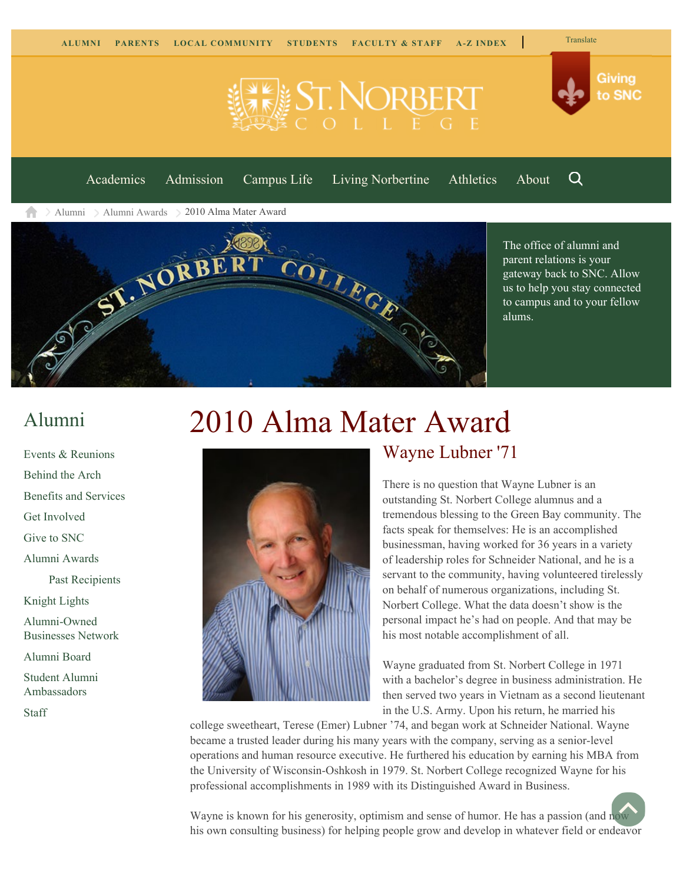

<span id="page-1-0"></span>Q [Academics](https://www.snc.edu/academics) [Admission](https://www.snc.edu/admission) [Campus Life](https://www.snc.edu/campuslife) [Living Norbertine](https://www.snc.edu/livingnorbertine) [Athletics](https://www.snc.edu/athletics) [About](https://www.snc.edu/about)

**IST. NORBER** 

[Alumni](https://www.snc.edu/alumni/) [Alumni Awards](https://www.snc.edu/alumni/awards/) 2010 Alma Mater Award



The office of alumni and parent relations is your gateway back to SNC. Allow us to help you stay connected to campus and to your fellow alums.

# [Alumni](https://www.snc.edu/alumni/index.html)

[Events & Reunions](https://www.snc.edu/alumni/event/index.html) [Behind the Arch](https://www.snc.edu/alumni/event/behindthearch/) [Benefits and Services](https://www.snc.edu/alumni/benefits.html) [Get Involved](https://www.snc.edu/alumni/getinvolved.html) [Give to SNC](http://giving.snc.edu/) [Alumni Awards](https://www.snc.edu/alumni/awards/index.html) [Past Recipients](https://www.snc.edu/alumni/awards/recipients.html) [Knight Lights](https://www.snc.edu/alumni/knightlights/index.html) [Alumni-Owned](https://www.snc.edu/alumni/directory/index.html) [Businesses Network](https://www.snc.edu/alumni/directory/index.html) [Alumni Board](https://www.snc.edu/alumni/alumniboard.html) [Student Alumni](https://www.snc.edu/alumni/saa.html) [Ambassadors](https://www.snc.edu/alumni/saa.html)

[Staff](https://www.snc.edu/alumni/contactus.html)

# 2010 Alma Mater Award



### Wayne Lubner '71

There is no question that Wayne Lubner is an outstanding St. Norbert College alumnus and a tremendous blessing to the Green Bay community. The facts speak for themselves: He is an accomplished businessman, having worked for 36 years in a variety of leadership roles for Schneider National, and he is a servant to the community, having volunteered tirelessly on behalf of numerous organizations, including St. Norbert College. What the data doesn't show is the personal impact he's had on people. And that may be his most notable accomplishment of all.

Wayne graduated from St. Norbert College in 1971 with a bachelor's degree in business administration. He then served two years in Vietnam as a second lieutenant in the U.S. Army. Upon his return, he married his

college sweetheart, Terese (Emer) Lubner '74, and began work at Schneider National. Wayne became a trusted leader during his many years with the company, serving as a senior-level operations and human resource executive. He furthered his education by earning his MBA from the University of Wisconsin-Oshkosh in 1979. St. Norbert College recognized Wayne for his professional accomplishments in 1989 with its Distinguished Award in Business.

Wayne is known for his generosity, optimism and sense of humor. He has a passion (and [now](#page-1-0) his own consulting business) for helping people grow and develop in whatever field or endeavor